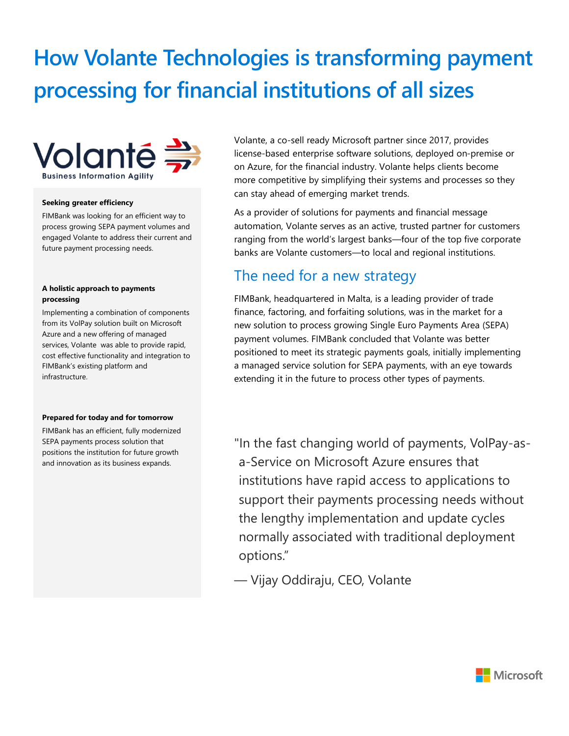# **How Volante Technologies is transforming payment processing for financial institutions of all sizes**



#### **Seeking greater efficiency**

FIMBank was looking for an efficient way to process growing SEPA payment volumes and engaged Volante to address their current and future payment processing needs.

#### **A holistic approach to payments processing**

Implementing a combination of components from its VolPay solution built on Microsoft Azure and a new offering of managed services, Volante was able to provide rapid, cost effective functionality and integration to FIMBank's existing platform and infrastructure.

#### **Prepared for today and for tomorrow**

FIMBank has an efficient, fully modernized SEPA payments process solution that positions the institution for future growth and innovation as its business expands.

Volante, a co-sell ready Microsoft partner since 2017, provides license-based enterprise software solutions, deployed on-premise or on Azure, for the financial industry. Volante helps clients become more competitive by simplifying their systems and processes so they can stay ahead of emerging market trends.

As a provider of solutions for payments and financial message automation, Volante serves as an active, trusted partner for customers ranging from the world's largest banks—four of the top five corporate banks are Volante customers—to local and regional institutions.

### The need for a new strategy

FIMBank, headquartered in Malta, is a leading provider of trade finance, factoring, and forfaiting solutions, was in the market for a new solution to process growing Single Euro Payments Area (SEPA) payment volumes. FIMBank concluded that Volante was better positioned to meet its strategic payments goals, initially implementing a managed service solution for SEPA payments, with an eye towards extending it in the future to process other types of payments.

"In the fast changing world of payments, VolPay-asa-Service on Microsoft Azure ensures that institutions have rapid access to applications to support their payments processing needs without the lengthy implementation and update cycles normally associated with traditional deployment options."

— Vijay Oddiraju, CEO, Volante